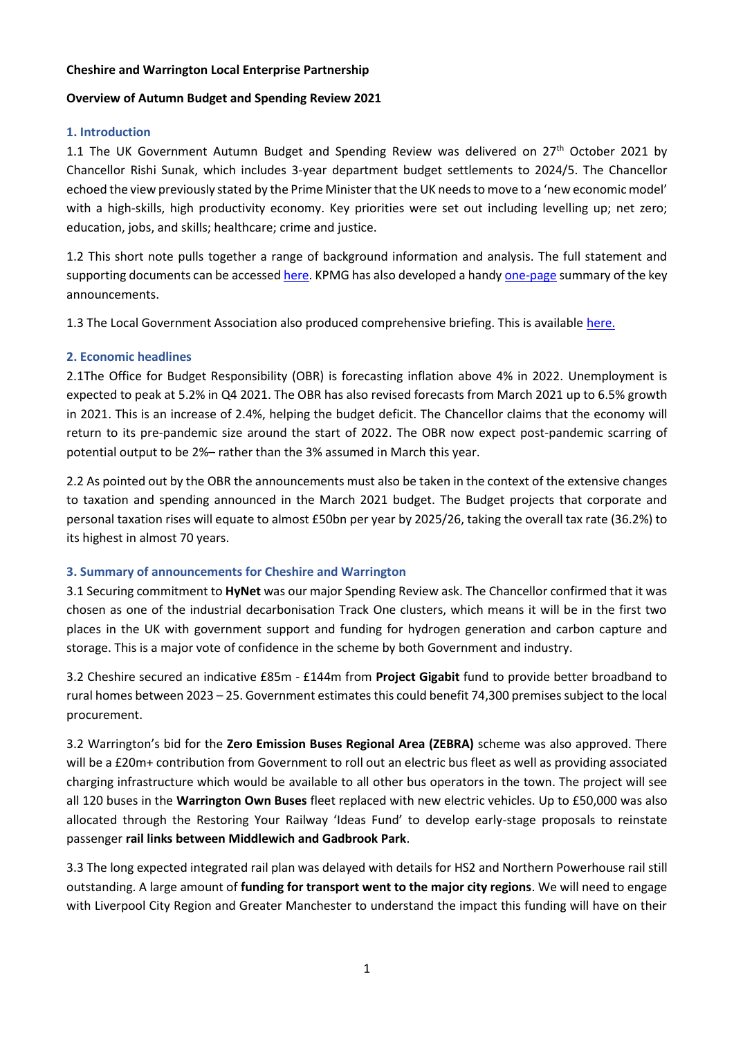#### **Cheshire and Warrington Local Enterprise Partnership**

#### **Overview of Autumn Budget and Spending Review 2021**

### **1. Introduction**

1.1 The UK Government Autumn Budget and Spending Review was delivered on  $27<sup>th</sup>$  October 2021 by Chancellor Rishi Sunak, which includes 3-year department budget settlements to 2024/5. The Chancellor echoed the view previously stated by the Prime Minister that the UK needs to move to a 'new economic model' with a high-skills, high productivity economy. Key priorities were set out including levelling up; net zero; education, jobs, and skills; healthcare; crime and justice.

1.2 This short note pulls together a range of background information and analysis. The full statement and supporting documents can be accessed here. KPMG has also developed a handy one-page summary of the key announcements.

1.3 The Local Government Association also produced comprehensive briefing. This is available [here.](https://local.gov.uk/parliament/briefings-and-responses/budget-2021-day-briefing)

# **2. Economic headlines**

2.1The Office for Budget Responsibility (OBR) is forecasting inflation above 4% in 2022. Unemployment is expected to peak at 5.2% in Q4 2021. The OBR has also revised forecasts from March 2021 up to 6.5% growth in 2021. This is an increase of 2.4%, helping the budget deficit. The Chancellor claims that the economy will return to its pre-pandemic size around the start of 2022. The OBR now expect post-pandemic scarring of potential output to be 2%– rather than the 3% assumed in March this year.

2.2 As pointed out by the OBR the announcements must also be taken in the context of the extensive changes to taxation and spending announced in the March 2021 budget. The Budget projects that corporate and personal taxation rises will equate to almost £50bn per year by 2025/26, taking the overall tax rate (36.2%) to its highest in almost 70 years.

# **3. Summary of announcements for Cheshire and Warrington**

3.1 Securing commitment to **HyNet** was our major Spending Review ask. The Chancellor confirmed that it was chosen as one of the industrial decarbonisation Track One clusters, which means it will be in the first two places in the UK with government support and funding for hydrogen generation and carbon capture and storage. This is a major vote of confidence in the scheme by both Government and industry.

3.2 Cheshire secured an indicative £85m - £144m from **Project Gigabit** fund to provide better broadband to rural homes between 2023 – 25. Government estimates this could benefit 74,300 premises subject to the local procurement.

3.2 Warrington's bid for the **Zero Emission Buses Regional Area (ZEBRA)** scheme was also approved. There will be a £20m+ contribution from Government to roll out an electric bus fleet as well as providing associated charging infrastructure which would be available to all other bus operators in the town. The project will see all 120 buses in the **Warrington Own Buses** fleet replaced with new electric vehicles. Up to £50,000 was also allocated through the Restoring Your Railway 'Ideas Fund' to develop early-stage proposals to reinstate passenger **rail links between Middlewich and Gadbrook Park**.

3.3 The long expected integrated rail plan was delayed with details for HS2 and Northern Powerhouse rail still outstanding. A large amount of **funding for transport went to the major city regions**. We will need to engage with Liverpool City Region and Greater Manchester to understand the impact this funding will have on their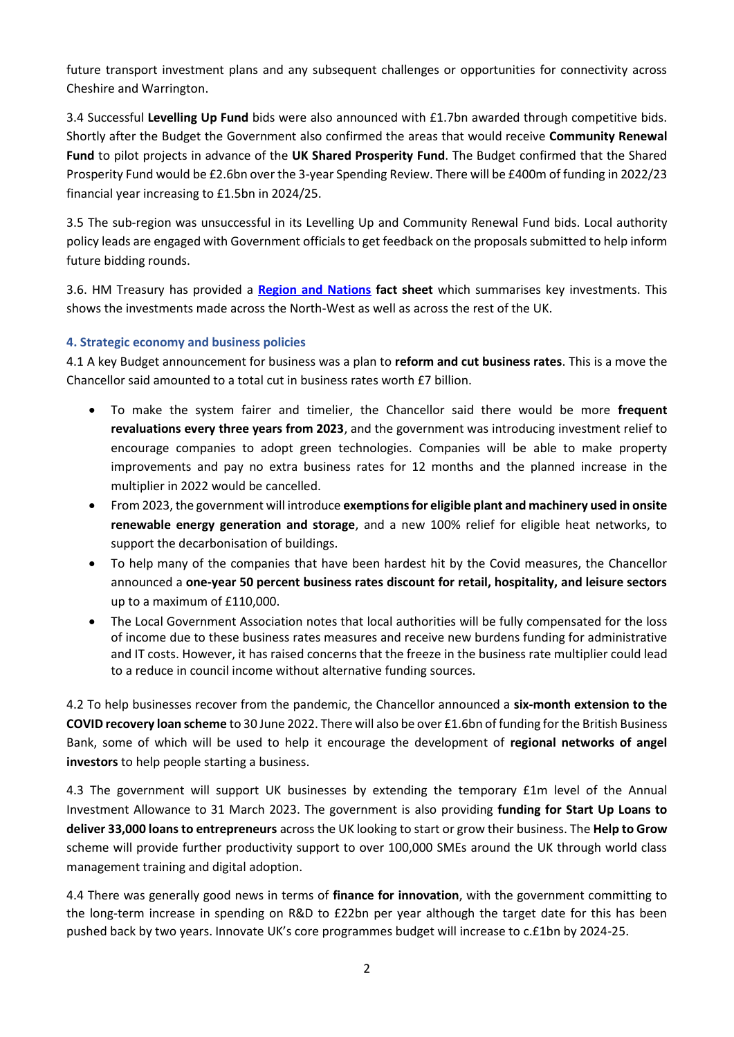future transport investment plans and any subsequent challenges or opportunities for connectivity across Cheshire and Warrington.

3.4 Successful **Levelling Up Fund** bids were also announced with £1.7bn awarded through competitive bids. Shortly after the Budget the Government also confirmed the areas that would receive **Community Renewal Fund** to pilot projects in advance of the **UK Shared Prosperity Fund**. The Budget confirmed that the Shared Prosperity Fund would be £2.6bn over the 3-year Spending Review. There will be £400m of funding in 2022/23 financial year increasing to £1.5bn in 2024/25.

3.5 The sub-region was unsuccessful in its Levelling Up and Community Renewal Fund bids. Local authority policy leads are engaged with Government officials to get feedback on the proposals submitted to help inform future bidding rounds.

3.6. HM Treasury has provided a **Region and Nations fact sheet** which summarises key investments. This shows the investments made across the North-West as well as across the rest of the UK.

# **4. Strategic economy and business policies**

4.1 A key Budget announcement for business was a plan to **reform and cut business rates**. This is a move the Chancellor said amounted to a total cut in business rates worth £7 billion.

- To make the system fairer and timelier, the Chancellor said there would be more **frequent revaluations every three years from 2023**, and the government was introducing investment relief to encourage companies to adopt green technologies. Companies will be able to make property improvements and pay no extra business rates for 12 months and the planned increase in the multiplier in 2022 would be cancelled.
- From 2023, the government will introduce **exemptions for eligible plant and machinery used in onsite renewable energy generation and storage**, and a new 100% relief for eligible heat networks, to support the decarbonisation of buildings.
- To help many of the companies that have been hardest hit by the Covid measures, the Chancellor announced a **one-year 50 percent business rates discount for retail, hospitality, and leisure sectors** up to a maximum of £110,000.
- The Local Government Association notes that local authorities will be fully compensated for the loss of income due to these business rates measures and receive new burdens funding for administrative and IT costs. However, it has raised concerns that the freeze in the business rate multiplier could lead to a reduce in council income without alternative funding sources.

4.2 To help businesses recover from the pandemic, the Chancellor announced a **six-month extension to the COVID recovery loan scheme** to 30 June 2022. There will also be over £1.6bn of funding for the British Business Bank, some of which will be used to help it encourage the development of **regional networks of angel investors** to help people starting a business.

4.3 The government will support UK businesses by extending the temporary £1m level of the Annual Investment Allowance to 31 March 2023. The government is also providing **funding for Start Up Loans to deliver 33,000 loans to entrepreneurs** across the UK looking to start or grow their business. The **Help to Grow** scheme will provide further productivity support to over 100,000 SMEs around the UK through world class management training and digital adoption.

4.4 There was generally good news in terms of **finance for innovation**, with the government committing to the long-term increase in spending on R&D to £22bn per year although the target date for this has been pushed back by two years. Innovate UK's core programmes budget will increase to c.£1bn by 2024-25.